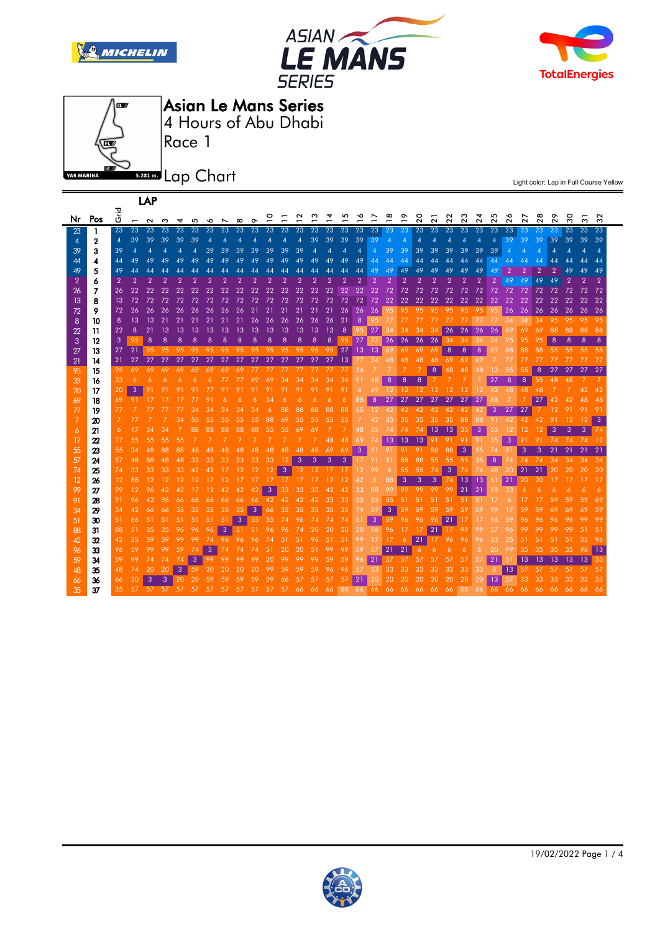







LAP

Asian Le Mans Series

Race 1 4 Hours of Abu Dhabi

**5.281 m.** Lap Chart

| Nr             | Pos                       | ہے۔<br>5       | $\overline{\phantom{0}}$ | $\sim$         | ო              | 4             | 5             | ∾              |                       | $\infty$       | ᢆ                     | 0<br>$\overline{ }$    |                 | $\sim$         | ო                      |                |                |                |                 | ∞              | ິ               | 0<br>$\mathbf{\Omega}$ | $\sim$         | $\sim$<br>$\sim$ | ო<br>$\sim$    | $\sim$         | 5<br>$\sim$    | ∾<br>$\sim$ | $\sim$ | $\sim$         | $\mathbf{\Omega}$ | $\circ$<br>w   | ო             | $\sim$<br>ო   |
|----------------|---------------------------|----------------|--------------------------|----------------|----------------|---------------|---------------|----------------|-----------------------|----------------|-----------------------|------------------------|-----------------|----------------|------------------------|----------------|----------------|----------------|-----------------|----------------|-----------------|------------------------|----------------|------------------|----------------|----------------|----------------|-------------|--------|----------------|-------------------|----------------|---------------|---------------|
| 23             | 1                         | 23             | 23                       | 23             | 23             | 23            | 23            | 23             | 23                    | 23             | 23                    | 23                     | 23              | 23             | 23                     | 23             | 23             | 23             | 23              | 23             | 23              | 23                     | 23             | 23               | 23             | 23             | 23             | 23          | 23     | 23             | 23                | 23             | 23            | 23            |
| $\overline{4}$ | 2                         | $\overline{4}$ | 39                       | 39             | 39             | 39            | 39            | $\overline{4}$ | 4                     | 4              |                       | $\boldsymbol{\Lambda}$ | $\overline{A}$  | $\overline{4}$ | 39                     | 39             | 39             | 39             | 39              | $\overline{4}$ | $\overline{4}$  | 4                      | $\overline{4}$ | 4                | $\overline{4}$ | 4              | $\overline{4}$ | 39          | 39     | 39             | 39                | 39             | 39            | 39            |
| 39             | 3                         | 39             | 4                        | Δ              |                |               |               | 39             | 39                    | 39             | 39                    | 39                     | 39              | 39             | $\boldsymbol{\Lambda}$ |                | 4              | $\overline{A}$ | A               | 39             | 39              | 39                     | 39             | 39               | 39             | 39             | 39             |             |        |                |                   |                |               |               |
| 44             | 4                         | 44             | 49                       | 49             | 49             | 49            | 49            | 49             | 49                    | 49             | 49                    | 49                     | 49              | 49             | 49                     | 49             | 49             | 49             | 44              | 44             | 44              | 44                     | 44             | 44               | 44             | 44             | 44             | 44          | 44     |                | 44                |                | 44            |               |
| 49             | 5                         | 49             | 44                       | 44             |                |               |               |                |                       |                |                       |                        | 44              | 44             | 44                     | 44             | 44             | 44             | 49              | 49             | 49              | 49                     | 49             | 49               | 49             | 49             | 49             | -9          |        | $\overline{2}$ | $\mathcal{P}$     | 49             | 49            | 49            |
| $\overline{2}$ | 6                         | $\overline{2}$ | $\overline{2}$           | $\overline{2}$ | $\overline{2}$ | $\mathcal{P}$ | $\mathcal{P}$ | $\overline{2}$ | $\overline{2}$        | $\overline{2}$ | $\overline{2}$        | $\overline{2}$         | $\overline{2}$  | $\overline{2}$ | $\overline{2}$         | $\overline{2}$ | $\overline{2}$ | $\overline{2}$ | $\overline{2}$  | $\overline{2}$ | $\overline{2}$  | $\overline{2}$         | $\overline{2}$ | $\overline{2}$   | $\overline{2}$ | $\overline{2}$ | $\overline{2}$ | 49          | 49     | 49             | 49                | $\overline{2}$ | $\mathcal{P}$ | $\mathcal{P}$ |
| 26             | 7                         | 26             | 22                       | 22             | 22             | 22            | 22            | 22             | 22                    | 22             | 22                    | 22 <sub>2</sub>        | 22              | 22             | 22                     | 22             | 22             | 22             | 22              | 72             | 72              | 72                     | 72             | 72               | 72             | 72             | 72             | 72          | 72     | 72             | 72                | 72             | 72            | 72            |
| 13             | 8                         | 13             | -72                      | -72            | 72             | 72            | 72            | -72            | 72                    | 72             | 72                    | 72                     | 72              | 72             | 72                     | 72             | 72             | 72             | 72              | 22             | 22              | 22                     | 22             | 22               | 22             | 22             | 22             | 22          | 22     | 22             | 22                | 22             | 22            | 22            |
| 72             | 9                         | 72             | 26                       | 26             | 26             | 26            | 26            | 26             | 26                    | 26             | 21                    | 21                     | 21              | 21             | 21                     | 21             | 26             | 26             | 26              | 95             | 95              | 95                     | 95             | 95               | 95             | 95             | 95             | 26          | 26     | 26             | 26                | 26             | 26            | 26            |
| 8              | 10                        | 8              | 13                       | 13             | 21             | -21           | -21           | - 21           | - 21                  | - 21           | 26                    | 26                     | 26              | 26             | 26                     | 26             | 21             | 8              | 95              | 77             | 77              | 77                     | 77             | 77               | 77             | 77             | 77             | -34         | 34     | 34             | 95                | 95             |               | 95            |
| 22             | 11                        | 22             | 8                        | 21             | 13             | 13            | 13            | 13             | -13                   | -13            | -13                   | -13                    | -13             | -13            | -13                    | 13             | 8              |                | 27              |                | 34              | 34                     | 34             | 26               | 26             | 26             | 26             | 69          | 69     | 69             | -88               | -88            | -88           | 88            |
| 3              | 12                        | 3              | 95                       | 8              | 8              | 8             | 8             | 8              | 8                     | 8              | 8                     | 8                      | 8               | 8              | 8                      | 8              | 95             | 27             |                 | 26             | 26              | 26                     | 26             | 34               | $-34$          | -34            | 34             | 95          | 95     |                |                   |                |               | 8             |
| 27             | 13                        | 27             | 21                       | 95             | 95             | 95            | 95            | 95             | 95                    | 95             | 95                    | -95                    | - 95            | 95             | 95                     | 95             | 27             | 13             | 13              | 69             | 69              | 69                     | 69             | 8                |                |                |                | 88          | 88     | 88             | 55                | 55             | 55            |               |
| 21             | 14                        | 21             | 27                       | 27             |                | 27            | 27            | 27             | $-27$                 | 27             | - 27                  | 27                     | 27              | 27             | 27                     | 27             | - 13           |                | 34              | 48             | 48              | 48                     | 48             | 69               | 69             | 69             |                | 77          |        |                |                   |                |               | -77           |
| 95             | 15                        | 95             | 69                       | 69             | 69             | 69            | 69            | 69             | 69                    | 69             | 77                    | 77                     | 77              | 77             | 77                     | 77             | -77            | 34             |                 |                |                 | $\overline{7}$         | 8              | 48               | 48             | 48             | 12             | 55          | 55     | 8              | 27                | 27             | 27            | -27           |
| 33             | 16                        | 33             | 6                        | 6              |                | 6             | 6             | 6              |                       |                | 69                    | 69                     | 34              | 34             | 34                     | 34             | 34             | 91             | 48              | 8              | 8               | 8                      | -7             |                  |                |                | 27             | 8           | 8      | 55             | 48                | 48             |               |               |
| 20             | 17                        | 20             | 3                        |                |                |               |               | 77             | 91                    | 91             | 91                    | 91                     | 91              | 91             | 91                     | 91             | 91             | 6              | 69              | 12             |                 | $12 \quad 12$          | 12             | 12               | 12             | 12             | -42            | 48          | 48     | 48             |                   |                | 42            | 42            |
| 69             | 18                        | 69             | 91                       |                |                |               |               | 91             | 6                     | 6              | 6                     | 34                     | 6               | 6              | 6                      | 6              | 6              | 88             | 8               | 27             | 27              | 27                     | 27             | 27               | 27             | 27             | 88             |             |        | 27             | 42                | 42             |               | 48            |
| 77             | 19                        | 77             |                          |                |                |               | 34            | 34             | 34                    | 34             | 34                    | 6                      | 88              | 88             | 88                     | 88             | 88             | 55             | $\overline{12}$ | 42             | 42              | 42                     | 42             | 42               | 42             | 42             | 3              | 27          | 27     | -7             | 12                | 91             |               | -91           |
| 7              | 20                        |                | 77                       |                |                | 34            | 55            | -55            | -55                   | 55.            | 55                    | 88                     | 69              | 55             | 55                     | 55             | 55             | -7.            | 42              | 35             | 35 <sup>2</sup> | 35                     | -35            | 35               | 88             | 88             | -91            | 42          | 42     | 42             | 91                |                |               | 3             |
| 6              | 21                        | 6              |                          | 34             | 34             |               | 88            | 88             | 88                    | 88             | 88                    | 55                     | 55              | 69             | 69                     | -7             | 7              | 48             | 35              |                | 74              | 74                     | 13             | 13               | 35             | 3              | 55             |             |        |                | 3                 | 3              | 3             | 74            |
| 17             | $\boldsymbol{\mathsf{z}}$ | 17             | 55                       | 55             | 55             | 55            |               |                |                       |                |                       |                        |                 |                |                        | 48             | 48             | 69             | 74              | 13             | 13              | 13                     | 91             | 91               | 91             | -91            | 35             | 3           |        |                |                   | 74             | - 74          |               |
| 55             | 23                        | 55             | 34                       | 48             | 88             | 88            | 48            |                |                       |                |                       | 48                     | 48              | 48             | 48                     | 69             | 69             | 3              | -51             | -91            | 91              | 91                     | 88             | 88               | 3              |                |                |             | 3      |                |                   | 21             | 21            | 21            |
| 57             | 24                        | 57             | 48                       | 88             | 48             | 48            | 33            | 33             | 33                    | 33             | 33                    | 33                     | 12              | -3             | 3                      | 3              | -3             | 17             | 91              | 51             | 88              | 88                     | 55             | 55               | -55            | 35             | 8              | 74          | 74     | 74             | 34                | 34             | 34            | -34           |
| 74             | 25                        | 74<br>12       | 33                       | 33             | 33             | 33            | 42            | 42             | 17                    | 12             | 12                    | 12 <sup>°</sup>        | -3              | 12             | 12                     | 17             | 17             | 12             | 99              | 6              | 55<br>3         | 55<br>3                | 74             | 3                | 74             | 74             | 48             | 20          | 21     | 21             | 20                | 20             | 20            | 20<br>17      |
| 12             | 26<br>27                  | 99             | 88<br>12                 | 12<br>96       | 12<br>42       | 12<br>42      | 12<br>17      | 17<br>12       | 12 <sup>°</sup><br>42 | 17<br>42       | 17<br>42 <sup>1</sup> | 3                      | 17 17 17<br>33  | 33             | 17<br>33               | 12<br>42       | 12<br>42       | 42<br>33       | 6<br>88         | 88<br>99       | -99             | 99                     | 3<br>99        | 74<br>99         | 13<br>21       | -13<br>21      | 51<br>59       | 21<br>33    | 20     | <b>20</b>      | 17                |                |               | 6             |
| 99<br>91       | 28                        | 91             | 96                       | 42             | 96             | 66            | 66            | 66             | 66                    | 66             |                       | 66 42                  | 42              | 42             | 42                     | 33             | 33             | 35             | 55              | 55             | 51              | 51                     | 51             | 51               | -51            |                |                |             |        |                | 59                | 59             |               | 69            |
| 34             | 29                        | 34             | 42                       | 66             | 66             | 35            | 35            | -35 -          | -35                   | 35             | -3                    | 66                     | 35 <sub>1</sub> | 35             | 35                     | 35             | 35             | 74             | 59              | 3              | 59              | 59                     | 59             | 59               | -59            |                |                |             | 59     |                |                   |                |               | 59            |
| 51             | 30                        | -51            | 66                       | -51            | -51            | -51           | -51           | -51            | $-51$                 | 3              |                       | 35 35                  | -74             |                | 96 74                  | -74            | 74             | -51            | $\mathbf{3}$    | 59             | 96              | 96                     | 96             | 21               |                |                | 96             |             | 96     |                |                   |                |               | 99            |
| 88             | 31                        | 88             | 51                       | 35             | 35             | 96            | 96            | 96.            | -3                    | 51             | $-51$                 | 96                     | 96              | 74             | 20                     | 20             | 20             | 20             | 96              | 96             |                 | 17                     | 21             |                  | -99            | 99             | 57             |             |        |                |                   |                |               | 51            |
| 42             | 32                        | 42             | 35                       | 59             | 59             | 99            | 99            |                | -96                   | 96             | 96                    | 74                     | 51              | 51             | 96                     | 51             | 51             | 99             |                 |                |                 | 21                     |                | 96               | 96             | 96             |                |             |        |                |                   |                | 35            | 96            |
| 96             | 33                        | 96             | 59                       | 99             |                |               | 74            | -3             | 74                    | 74             | 74                    | 51                     | 20              | 20             | 51                     | 99             | 99             | 59             | 57              | 21             | 21              | -6                     | 6              | 6                | 6              |                | 20             | 99          | 35     | 35             | 35                | 35             | 96            | 13            |
| 59             | 34                        | 59             | 99                       | 74             | 74             | 74            | -3            | 99             | -99                   | 99             | 99                    | 20                     | 99              | 99             | 99                     | 59             | 59             | 96             | 21              | 57             | 57              | 57                     | 57             | 57               | 57             | 57             | -21            |             | 13     | -13            | 13                | 13             | -13           | 35            |
| 48             | 35                        | 48             | 74                       | 20             | 20             | 3             | 59            | 20             | 20                    | 20             | 20                    | 99                     | 59              | 59             | 59                     | 96             | 96             | 57             | -33             | 33             | 33              | 33                     | 33             | 33               | -33            | 33             | - 6.           | 13          | -57    | 57             | 57                | 57             | 57            | 57            |
| 66             | 36                        | 66             | 20                       | 3              | 3              | 20            | 20            | 59             | 59                    | 59             | 59                    | 59                     | 66              | 57             | 57                     | 57             | 57             | 21             | 20              | 20             | 20              | 20                     | 20             | 20               | 20             | 20             | 13             | 57          | 33     | 33             | 33                |                | 33            | 33            |
| 35             | 37                        | 35             | 57                       | -57            | 57             | 57            | 57            | 57             | 57                    | 57             | 57                    | 57                     |                 |                |                        |                |                |                |                 |                |                 |                        |                |                  |                |                |                |             | 66     | 66             | -66               | -66            | 66            | -66           |
|                |                           |                |                          |                |                |               |               |                |                       |                |                       |                        |                 |                |                        |                |                |                |                 |                |                 |                        |                |                  |                |                |                |             |        |                |                   |                |               |               |

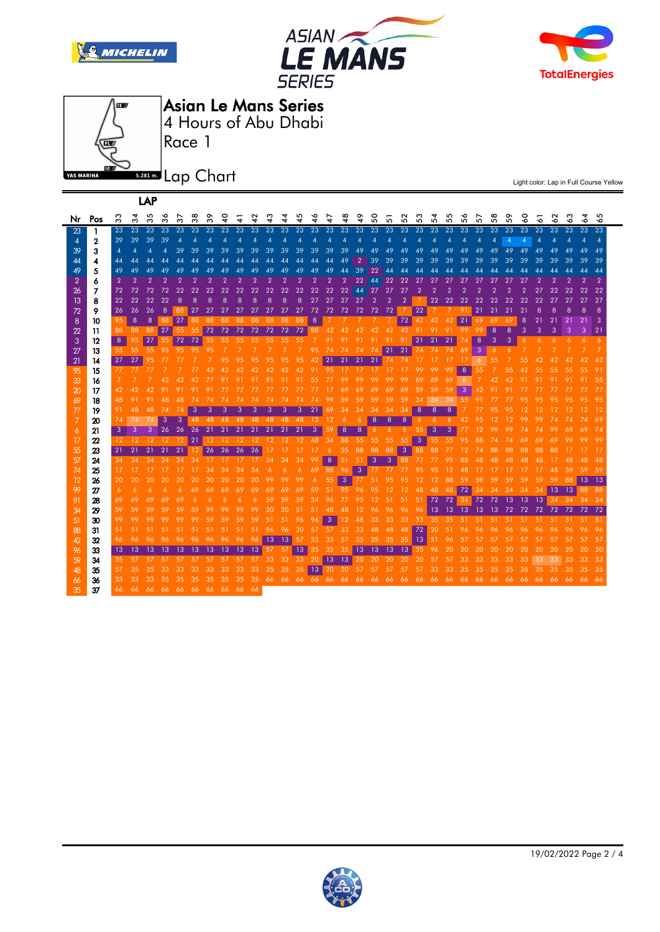







LAP

Asian Le Mans Series

Race 1 4 Hours of Abu Dhabi

**5.281 m.** Lap Chart

| Nr             | Pos                       | ౢ              | ო              | m<br>ო          | ∾<br>ო                 | ო              | ო                        | ო              | 4                                             | 4                        | $\ddot{ }$     |                |                | 4                   | ∾<br>4             | 4              | $\frac{8}{4}$     | $\frac{6}{4}$   | 50              | 5               | in.                                       | ო<br>5          | ۱Ó,              | 5<br>5                | ∾<br>5         | 5                       | 5                        | 5  | °  | 2              | $\frac{2}{3}$  | ∘             | ۰ó            | 5<br>ç |
|----------------|---------------------------|----------------|----------------|-----------------|------------------------|----------------|--------------------------|----------------|-----------------------------------------------|--------------------------|----------------|----------------|----------------|---------------------|--------------------|----------------|-------------------|-----------------|-----------------|-----------------|-------------------------------------------|-----------------|------------------|-----------------------|----------------|-------------------------|--------------------------|----|----|----------------|----------------|---------------|---------------|--------|
| 23             | 1                         | 23             | 23             | 23              | 23                     | 23             | 23                       | 23             | 23                                            | 23                       | 23             | 23             | 23             | 23                  | 23                 | 23             | 23                | 23              | 23              | 23              | 23                                        | 23              | 23               | 23                    | 23             | 23                      | 23                       | 23 | 23 | 23             | 23             | 23            | 23            | 23     |
| $\overline{4}$ | $\mathbf{2}$              | 39             | 39             | 39              | 39                     |                |                          |                |                                               | $\boldsymbol{\varDelta}$ | $\overline{4}$ | $\overline{4}$ | 4              | $\overline{4}$      | $\overline{4}$     | $\overline{4}$ | $\overline{4}$    | $\overline{4}$  | $\overline{4}$  | $\overline{4}$  | $\overline{4}$                            | 4               | $\overline{4}$   | $\overline{A}$        | $\overline{4}$ | $\overline{4}$          | $\boldsymbol{\varDelta}$ |    |    |                |                |               |               |        |
| 39             | 3                         | $\overline{4}$ | $\overline{4}$ |                 |                        | 39             | 39                       | 39             | 39                                            | 39                       | 39             | 39             | 39             | 39                  | 39                 | 39             | 39                | 49              | 49              | 49              | 49                                        | 49              | 49               | 49                    | 49             | 49                      | 49                       | 49 | 49 | 49             | 49             | 49            | 49            | 49     |
| 44             | 4                         | 44             | 44             | 44              | 44                     | 44             | 44                       | 44             | 44                                            | 44                       | 44             | 44             | 44             | 44                  | 44                 | 44             | 49                | $\overline{2}$  | 39              | 39              | 39                                        | 39              | 39               | 39                    | 39             | 39                      | 39                       | 39 | 39 | 39             | 39             | 39            | 39            | 39     |
| 49             | 5                         | 49             | 49             | 49              | 49                     | 49             | 49                       | 49             | 49                                            | 49                       | 49             | 49             | 49             | 49                  | 49                 | 49             | 44                | 39              | 22              | 44              | 44                                        | 44              | 44               | 44                    | 44             | 44                      | 44                       | 44 |    |                | 44             |               |               |        |
| $\overline{2}$ | 6                         | $\overline{2}$ | $\overline{2}$ | $\overline{2}$  | $\overline{2}$         | $\overline{2}$ | $\overline{2}$           | $\overline{2}$ | $\overline{2}$                                | $\overline{2}$           | $\overline{2}$ | $\overline{2}$ | $\overline{2}$ | $\overline{2}$      | $\overline{2}$     | $\overline{2}$ | $\overline{2}$    | 22              | 44              | 22              | 22                                        | 27              | 27               | 27                    | 27             | 27                      | 27                       | 27 | 27 | $\overline{2}$ | $\overline{2}$ | $\mathcal{P}$ | $\mathcal{P}$ |        |
| 26             | $\overline{7}$            | 72             | 72             | 72              | 72                     | 22             | 22                       | 22             | 22                                            | 22                       | 22             | 22             | 22             | 22                  | 22                 | 22             | 22                | 44 27           |                 | -27             | 27                                        | $\overline{2}$  | $\overline{2}$   | $\overline{2}$        | $\overline{2}$ | 2                       | 2                        |    |    | 27             | 22             | 22            | 22            | 22     |
| 13             | 8                         | 22             | 22             | 22              | 22                     | 8              | 8                        | 8              | 8                                             | 8                        | 8              | 8              | 8              | 8                   | 27                 | 27             | 27                | 27              | $\overline{2}$  | $\overline{2}$  | $\overline{2}$                            | -7              | $22 -$           | 22                    | 22             | 22                      | 22                       | 22 | 22 | 22             | 27             | 27            | 27            | 27     |
| 72             | 9                         | 26             | 26             | 26              | -8                     | 88             |                          |                |                                               |                          |                |                |                |                     |                    |                |                   |                 |                 |                 | -7                                        | 22              |                  |                       | 91             | 21                      | 21                       | 21 | 21 | 8              | 8              | 8             | 8             | 8      |
| 8              | 10                        | 95             | 8              | 8               | 88                     | 27             |                          |                | 88 88 88 88 88 88 88                          |                          |                |                |                | 88                  | 8                  | 7              | -7 -              | -7 -            | -7.             |                 | $7$ 72                                    | 42              | 42               | 42                    | 21             | 69                      | 69                       | 69 | 8  | 21             | 21             | 21            | 21            | 3      |
| 22             | 11                        | 88             | -88            | -88             | 27                     |                | 55 55                    |                | 72 72 72 72 72 72 72 788 42 42 42 42 42 42 91 |                          |                |                |                |                     |                    |                |                   |                 |                 |                 |                                           |                 | 91               | 91.                   | 99             | 99                      | 8                        | 8  | 3  | 3              | 3              | 3             |               | -21    |
| 3              | 12                        | 8              |                | 27              | 55                     | 72             | 72                       | 55             |                                               |                          |                |                |                | 55 55 55 55 55 55 7 |                    | 91             | 91                | 91              | -91             | 91              | -91                                       | 21              | 21               | 21                    |                | 8                       | 3                        | 3  |    |                |                |               |               | -6     |
| 27             | 13                        | 55             | 55             | 55              | 95                     | 95             | 95                       | 95             |                                               |                          |                |                |                |                     |                    |                | 95 74 74 74 74 21 |                 |                 |                 | $-21$                                     | 74              | 74               | 74                    | 69             | -3                      | 6                        | 6  |    |                |                |               |               |        |
| 21             | 14                        | 27             | 27             | 95              |                        |                |                          |                | 95                                            | 95                       | 95             | 95             | 95             | 95                  | $42 \overline{21}$ |                | $-21$             | $-21$           | $-21$           | 74              | 74                                        | 17              | 17               | 17                    | -17            | -6                      | 55                       |    | 55 |                |                |               |               |        |
| 95             | 15                        | 77.            | -77            | 77              |                        |                |                          | 42             | 42                                            | 42                       | 42             | 42             | 42             |                     |                    | 42 91 95 17    |                   | -17             | 17 <sub>1</sub> | 17              | 17                                        | 99              | 99               | 99                    | 8              | 55                      |                          | 55 |    |                |                |               |               |        |
| 33             | 16                        | 7 <sup>2</sup> |                |                 | 42                     | 42             |                          |                | 91                                            | -91                      | -91            | 91             | 91             | 91                  |                    | 55 77          | 99                | 99              | 99              | 99              | 99                                        | 69              | 69               | 69                    | -6-            | $7\overline{ }$         | 42                       |    | 91 |                |                |               |               |        |
| 20             | 17                        | 42             | 42             | 42              | 91                     | 91             | 91                       | 91             | 77                                            | 77                       | 77             | 77             | 77             | 77                  | 77                 | 17.            | 69                | 69              | 69              | 69              | 69                                        | 59              | 59               | 59                    | 3              | 42                      | 91                       |    |    |                |                |               |               |        |
| 69             | 18                        | 48             | 91             | 91              | 48                     | 48             | 74                       | 74             | 74                                            | 74                       | 74             | 74             | 74             | 74                  | 74                 | 99             | 59                | 59              | 59              | 59              | 59                                        | 34              | 34               | 34                    | -55            | 91                      | 77                       |    | 95 | 95             |                |               |               |        |
| 77             | 19                        | 91             | 48             | 48              | 74                     | 74             | 3                        | 3              | $\bullet$ <sub>3</sub>                        | 3                        | 3              | 3              | 3              |                     |                    |                | $3$ 21 69 34      |                 | 34 34           | 34 34           |                                           | 8               | 8                | 8                     |                | 77                      | 95                       | 95 |    | 12             |                |               |               |        |
| $\overline{7}$ | 20                        | 74             | 74             | 74              | 3                      | 3              |                          |                | 48 48 48 48 48 48 48 48 12 12                 |                          |                |                |                |                     |                    |                | 6                 | 6               | 8               | 8               | $^{\circ}$ 8                              | -6              | 6                | 6                     | 42             | 95                      | -12                      | 12 | 99 | 99             | 74             |               |               | 69     |
| 6              | 21                        |                | -3             | 3               | 26 26                  |                | 26 21                    |                | 21 21 21 21 21 21                             |                          |                |                |                |                     | -3                 | 59             | 8                 | $^{\circ}$ 8    | 6               | 6               |                                           | 6 <sub>55</sub> | 3                | 3                     | 77             | 12                      | 99                       | 99 |    | 74             | 99             |               |               |        |
| 17             | $\boldsymbol{\mathsf{z}}$ | $12-12$        |                | $\overline{12}$ | $\overline{12}$        | 12             | 21                       |                | 12 12 12 12 12 12 12 48 34 88 55 55 55        |                          |                |                |                |                     |                    |                |                   |                 |                 |                 | 55                                        | -3              |                  | 55 55                 | 95             | 88                      | 74                       | 74 | 69 | 69             | 69             |               |               |        |
| 55             | 23                        | 21             | 21             | 21              | 21                     | 21             | 12                       | 26             | 26                                            | 26                       | 26             | 17             | 17             | 17                  | 17<br>99           | 6<br>8         | 55<br>51          | 88<br>51        | 88              | 88              | $\overline{3}$                            | 88              | 88               | 77                    | 12             | 74                      | 88                       | 88 | 88 | 88             |                |               |               |        |
| 57<br>74       | 24                        | 34<br>17       | 34<br>17       | 34<br>17        | -34<br>17 <sup>°</sup> | 17             | 34 34<br>17 <sup>°</sup> | - 17           | 34 34 34 34                                   |                          | 17 17 17 34    |                | 34             | 34<br>6             | 69                 |                | $96 \quad 3$      |                 | 3<br>77         | -3              | 88<br>77                                  | 77<br>95        | 77<br>95         | 95<br>12 <sup>°</sup> | 88<br>48       | 48<br>-17               | 48                       | 48 | 48 |                | 48             |               | 59 59         |        |
| 12             | 25<br>26                  | 20             | 20             | 20              | -20                    | -20            | <b>20</b>                | -20            |                                               |                          | 20 20 20 99    | 6              | 6<br>99        | 99                  | 6                  | 88<br>55       | 3 <sup>2</sup>    | 77              | $-51$           | -77<br>95       | 95                                        | 12 <sub>2</sub> | 12 <sub>12</sub> |                       | 88 59          | 59                      | 59                       | 59 | 59 | 59             | 59             | 88            |               | 13 13  |
| 99             | 27                        | 6              |                | 6               |                        | 6              | 69                       | 69             | 69                                            | 69                       | -69            | -69            | 69             | 69                  |                    |                | 59 51 95 96       |                 | 95              | 12 <sub>2</sub> | 12 <sup>2</sup>                           |                 | 48 48 48 72      |                       |                | 34 <sup>2</sup>         | 34                       | 34 | 34 | 34             | 13             | -13           | 88 88         |        |
| 91             | 28                        | 69             | 69             | 69              | 69                     | 69             | 6                        | 6              | 6                                             | 6                        | 6              | 59             | 59             | 59                  | 34                 | 96             | -77               | 95              | 12              | 51              | 51                                        |                 | 51 72 72         |                       | -34            | 72 72                   |                          | 13 | 13 | 13             | 34             | -34           | 34 34         |        |
| 34             | 29                        | 59             | 59             | 59              | 59                     | 59             | 59                       | 99             |                                               | 99 99                    | 99             | <b>20</b>      |                | 20 51 51 48 48      |                    |                |                   | 12 <sup>7</sup> | 96              | 96              | 96                                        |                 |                  |                       |                | 96 13 13 13 13 13 72 72 |                          |    |    | 72             | 72             | -72           | 72 72         |        |
| 51             | 30                        | 99             | 99             | 99              | -99                    | -99            | 99                       | 59             | .59                                           |                          |                |                |                | 59 59 51 51 96 96 3 |                    |                |                   |                 |                 |                 | 12 48 33 33 33 33 35                      |                 |                  | 35 <sub>1</sub>       | 51             | 51                      | 51                       | 51 | 51 | 51             | 51             |               | 51            | -51    |
| 88             | 31                        | 51.            | -51            | -51             | -51                    | - 51           | - 51                     | - 51           | - 51                                          |                          |                |                |                |                     |                    |                |                   |                 |                 |                 | 51 51 96 96 20 57 57 33 33 48 48 48 72    |                 |                  | 20 51                 | 96             | 96                      | 96                       | 96 | 96 | 96             | 96             |               | 96            |        |
| 42             | 32                        | 96             |                |                 |                        |                |                          |                | 96 96 96 96 96 96 96 96 13 13                 |                          |                |                |                |                     |                    |                |                   |                 |                 |                 | 57 33 33 57 35 35 35 35 13                |                 | 51               | 96                    | 57             | 57                      | 57                       | 57 | 57 | 57             | 57             |               |               |        |
| 96             | 33                        | 13             | 13             |                 |                        |                | 13 13 13 13 13           |                | - 13                                          | $\overline{13}$          | 13             | 57             | 57             | 13                  |                    | 35 35          | $35$ 13           |                 | - 13            | - 13            | 13                                        | 35              | 96               | 20                    | 20             | 20                      | 20                       | 20 | 20 | 20             | 20             |               |               | 20     |
| 59             | 34                        | 35             | 57             | 57              | -57                    | -57            | 57                       | 57             | -57                                           | -57                      |                | 57 33          |                | 33 33 20 13 13      |                    |                |                   |                 | 20 20           | -20             | 20                                        | 20              | 57               | 57                    | 33             | 33                      | 33                       | 33 | 33 | 33             | 33             |               |               | -33    |
| 48             | 35                        | 57             | 35             | 35              | -33                    | 33             | 33                       | 33             | -33                                           |                          |                |                |                |                     |                    |                |                   |                 |                 |                 | 33 33 35 35 35 13 20 20 57 57 57 57 57 33 |                 |                  | 33                    | 35             | 35                      | 35                       | 35 | 35 | 35             | 35             | 35            | 35 35         |        |
| 66             | 36                        | 33             | 33             | 33              | 35                     | 35             | 35                       | 35             |                                               |                          |                |                |                |                     |                    |                |                   |                 |                 |                 |                                           |                 |                  |                       |                |                         |                          |    |    |                |                |               |               |        |
| 35             | 37                        | 66.            |                |                 |                        |                |                          |                | 66 66 66 66 66 66 66 66                       |                          |                |                |                |                     |                    |                |                   |                 |                 |                 |                                           |                 |                  |                       |                |                         |                          |    |    |                |                |               |               |        |
|                |                           |                |                |                 |                        |                |                          |                |                                               |                          |                |                |                |                     |                    |                |                   |                 |                 |                 |                                           |                 |                  |                       |                |                         |                          |    |    |                |                |               |               |        |

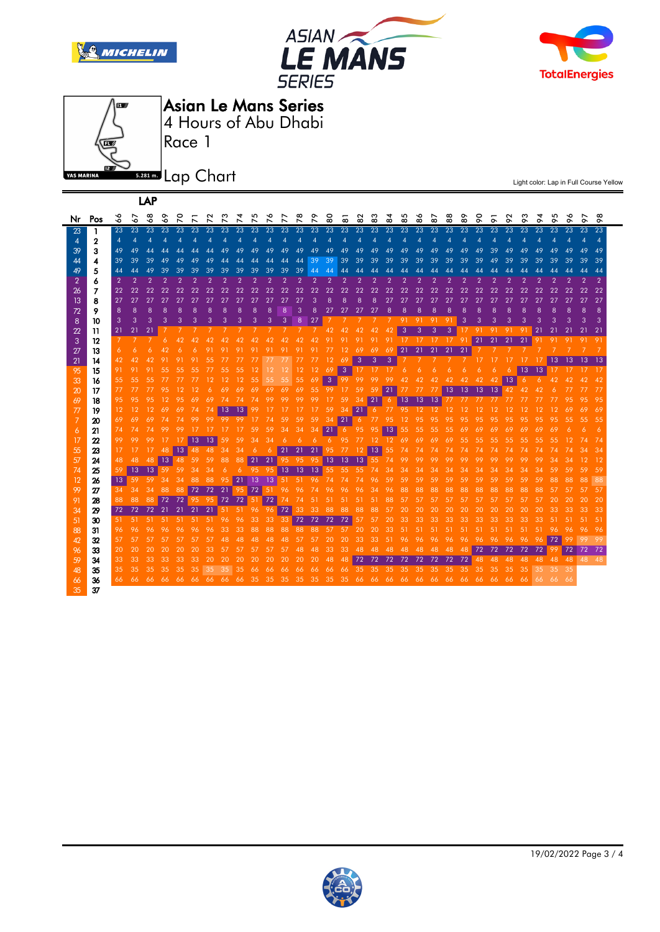







Asian Le Mans Series

Race 1 4 Hours of Abu Dhabi

**S281m.** Lap Chart

| Nr             | Pos                        | ۰ŏ              | ∼<br>∘         | ∘               | ∘                        | 0<br>↖          |                 | $\sim$ | ო<br>↖        | 4<br>↖                                       | 5<br>$\overline{\phantom{0}}$ | ∾<br>↖                   | ↖<br>$\overline{ }$    | $\infty$<br>↖   | $\sigma$<br>$\overline{ }$ | $\circ$<br>$\infty$ | $\infty$                 | $\sim$<br>$\infty$     | ო<br>$\infty$          | 4<br>$\infty$            | 5<br>$\infty$            | ç<br>$\infty$            | ↖<br>$\infty$            | $\infty$<br>$\infty$                | ᢆ<br>$\infty$            | 0<br>ᢆ                   | $\sigma$        | $\sim$<br>ᢆ              | ო<br>ᡐ                   | 4<br>$\sigma$   | 5<br>ᡐ                 | ∾<br>ᡐ                 | ∼<br>ᡐ                 | $\alpha$<br>ົ            |
|----------------|----------------------------|-----------------|----------------|-----------------|--------------------------|-----------------|-----------------|--------|---------------|----------------------------------------------|-------------------------------|--------------------------|------------------------|-----------------|----------------------------|---------------------|--------------------------|------------------------|------------------------|--------------------------|--------------------------|--------------------------|--------------------------|-------------------------------------|--------------------------|--------------------------|-----------------|--------------------------|--------------------------|-----------------|------------------------|------------------------|------------------------|--------------------------|
| 23             | 1                          | 23              | 23             | 23              | 23                       | 23              | 23              | 23     | 23            | 23                                           | 23                            | 23                       | 23                     | 23              | 23                         | 23                  |                          |                        |                        |                          |                          |                          |                          |                                     |                          |                          |                 |                          |                          | 23              | 23                     | 23 <sup>2</sup>        | 23                     | 23                       |
| 4              | $\mathbf 2$                | $\overline{4}$  | $\overline{4}$ | $\overline{4}$  | $\boldsymbol{\varDelta}$ | 4               | 4               | 4      | 4             | 4                                            | $\boldsymbol{\Lambda}$        | $\boldsymbol{\varDelta}$ | $\boldsymbol{\Lambda}$ | $\overline{4}$  | $\overline{4}$             | $\overline{4}$      | $\boldsymbol{\varDelta}$ | $\boldsymbol{\Lambda}$ | $\boldsymbol{\Lambda}$ | $\boldsymbol{\varDelta}$ | $\boldsymbol{\varDelta}$ | $\boldsymbol{\varDelta}$ | $\boldsymbol{\varDelta}$ | $\boldsymbol{\varDelta}$            | $\boldsymbol{\varDelta}$ | $\boldsymbol{\varDelta}$ | 4               | $\boldsymbol{\varDelta}$ | $\boldsymbol{\varDelta}$ | $\overline{4}$  | $\boldsymbol{\Lambda}$ | $\boldsymbol{\Lambda}$ | $\boldsymbol{\Lambda}$ | $\boldsymbol{\varDelta}$ |
| 39             | 3                          | 49              | 49             | 44              | 44                       | 44              | 44              | 44     | 49            | 49                                           | 49                            | 49                       | 49                     | 49              | 49                         | 49                  | 49                       | 49                     | 49                     | 49                       | 49                       | 49                       | 49                       | 49                                  | 49                       | 49                       | 39              | 49                       | 49                       | 49              | 49                     | 49                     | 49                     | $\Delta$                 |
| 44             | 4                          | 39              | 39             | 39              | 49                       | 49              | 49              | 49     |               | 44                                           | 44                            | 44                       | 44                     | 44              | 39                         | 39                  | 39                       | 39                     | 39                     | 39                       | 39                       | 39                       | 39                       | 39                                  | 39                       | 39                       | 49              | 39                       | 39                       | 39              | 39                     | 39                     | 39                     | 39                       |
| 49             | 5                          | 44              |                | 49              | 39                       | 39              | 39              | 39     | 39            | 39                                           | 39                            | 39                       | 39                     | 39              | 44                         | 44                  | 44                       | 44                     | 44                     | 44                       | 44                       | 44                       | 44                       | 44                                  | 44                       | 44                       | 44              | 44                       | 44                       | 44              | 44                     | 44                     | 44                     | -44                      |
| $\overline{2}$ | 6                          | $\overline{2}$  | $\mathcal{P}$  | $\mathcal{P}$   |                          |                 |                 |        | $\mathcal{P}$ | $\overline{2}$                               | $\overline{2}$                | $\overline{2}$           | $\overline{2}$         | $\overline{2}$  | $\overline{2}$             | $\overline{2}$      | $\overline{2}$           | $\overline{2}$         | $\overline{2}$         | $\overline{2}$           | $\overline{2}$           | $\mathcal{P}$            | $\mathcal{P}$            | $\mathcal{P}$                       | 2                        | $\mathcal{P}$            | $\mathcal{P}$   | $\mathcal{P}$            | $\mathcal{P}$            | $\mathcal{P}$   | $\mathcal{P}$          | $\mathcal{P}$          | $\mathcal{P}$          | -2                       |
| 26             | 7                          | 22              | 22             | 22              | 22                       | 22              | 22              | 22     | 22            | 22                                           | 22                            | 22                       | 22                     | 22              | 22                         | 22                  | 22                       | 22                     | 22                     | 22                       | 22                       | 22                       | 22                       | 22                                  | 22                       | 22                       | 22              | 22                       | 22                       | $-22$           | $_{22}$                | - 22                   | 22 22                  |                          |
| 13             | 8                          | 27              | 27             | 27              | 27                       | 27              | 27              | 27     | 27            | 27                                           | 27                            | 27                       | 27                     | 27              | 3                          | 8                   | 8                        | 8                      | 8                      | 27                       | 27                       | 27                       | 27                       | 27                                  | 27                       | 27                       | 27              | 27                       | 27                       | 27              | 27                     | -27                    | -27                    | - 27                     |
| 72             | 9                          | 8               | 8              | 8               | 8                        | 8               | 8               | 8      | 8             | 8                                            | 8                             | 8                        | 8                      | 3               | 8                          | 27                  | 27                       | 27                     | 27                     | 8                        | 8                        | 8                        | 8                        | 8                                   | 8                        | 8                        | 8               | 8                        | 8                        | 8               | 8                      | 8                      | 8                      | 8                        |
| 8              | 10                         | 3               | 3              | 3               | 3                        | 3               | 3               | 3      | 3             | 3                                            | 3                             | 3                        | 3                      | 8               | 27                         | -7                  | <b>7</b>                 | -7 -                   |                        |                          |                          | 7 7 91 91 91 91          |                          |                                     | $\overline{3}$           | 3                        | 3               | 3                        | 3                        | 3               | 3                      | 3                      | 3                      | 3                        |
| 22             | 11                         | 21              | 21             | 21              |                          | -7.             | 7               | -7.    | <b>7</b>      | -7.                                          | -7.                           | $-7$                     | 77                     |                 | - 7 -                      | 42                  | 42                       | 42                     | 42                     | 42                       | 3                        | €                        | $\bullet$                | 3 17 91 91 91 91                    |                          |                          |                 |                          |                          | $-21$           | -21                    | $-21$                  | $21$ 21                |                          |
| 3              | 12                         | 7               |                |                 | 6                        | 42              |                 |        |               |                                              | 42                            | 42                       | 42                     | 42              | 42                         | 91                  | 91                       | 91                     | 91                     |                          |                          |                          |                          | 91 17 17 17 17 91                   |                          | 21                       | $-21$           |                          | 21 21 91                 |                 | -91                    |                        | 91 91 91               |                          |
| 27             | 13                         | 6               | 6.             | 6               |                          |                 | 6               | 91     | 91            | 91                                           | 91                            | 91                       | 91                     | 91              | 91                         | 77                  | 12                       | 69                     |                        | 69 69 21                 |                          | $-21$                    | -21                      | $-21$                               | $-21$                    | - 7                      | 7               | -7.                      | -7.                      | $7\overline{ }$ |                        |                        | -7                     | -7                       |
| 21             | 14                         | 42              | 42             | 42              |                          |                 | -91             | 55     | 77            | 77                                           | 77                            | 77                       | 77                     | 77              | 77                         | 12 <sup>7</sup>     | 69                       | $\mathbf{3}$           |                        | $3 \quad 3$              | - 7                      | 7                        |                          | 7 7 7 17                            |                          |                          | 17              | 17                       | 17                       | 17              | 13                     | -13                    | $-13$ 13               |                          |
| 95             | 15                         | 91              | 91             | 91              | 55 <sub>1</sub>          | 55 <sub>1</sub> | 55              |        | 55.           | 55                                           | 12                            | 12                       | 12 <sup>°</sup>        | 12              | 12 <sup>°</sup>            | 69                  | 3 <sup>1</sup>           |                        |                        | $17$ $17$ $17$ 6         |                          | 6                        | 6 <sup>1</sup>           | 6                                   | 6                        | 6                        | 6               | 6                        | 13                       | - 13            | 17                     | -17                    | -17                    | -17                      |
| 33             | 16                         | 55              | 55             |                 | 55 77 77                 |                 | -77             | 12     | 12            | 12 <sup>7</sup>                              |                               | $55$ 55                  | -55                    | 55 <sub>1</sub> | 69                         |                     | $3^{99}99$               |                        | 99                     | -99                      | 42                       | 42                       |                          | 42 42                               | -42                      |                          | 42 42 13        |                          | - 6 -                    | 6               | 42                     |                        |                        | - 42                     |
| 20             | 17                         | 77              | -77            |                 | 77 95 12 12              |                 |                 | 6      | -69           | -69                                          | 69                            | -69                      | -69                    | 69              |                            | 55 99               | 17                       | -59                    | -59                    | 21 77 77                 |                          |                          | - 77                     | 13 <sup>°</sup>                     |                          |                          | 13 13 13        | 42                       | 42                       | 42              | 6                      | -77                    | 77                     | 77                       |
| 69             | 18                         | 95              | 95             |                 |                          |                 |                 |        |               | 95 12 95 69 69 74 74 74                      |                               | -99.                     | -99.                   | 99              | -99.                       | 17                  | .59                      |                        |                        |                          |                          |                          |                          | 34 21 6 13 13 13 77 77              |                          |                          | 77 77 77        |                          | -77                      | 77              | 77                     | 95                     | 95                     | 95                       |
| 77             | 19                         | 12 <sup>°</sup> |                |                 | 12,69,69                 |                 | 74 74 13        |        |               | - 13                                         | 99                            | 17                       | 17 <sup>2</sup>        | -17             | -17                        | 59                  |                          |                        |                        |                          |                          |                          |                          | 34 21 6 77 95 12 12 12 12           |                          | $\overline{12}$          | $\overline{12}$ | -12                      | -12                      | -12             | 12                     | 69                     | 69                     | 69                       |
| 7              | 20                         | 69              |                |                 | 69 74 74                 |                 | -99             |        |               | 99 99 17                                     |                               | -74 -                    | 59                     | -59 -           |                            |                     | 59 34 21 6 77 95         |                        |                        |                          | $ 12\rangle$             | 95                       | 95                       | 95                                  | 95                       | 95                       | 95              | 95                       | 95                       | 95              | 95                     | 55                     | 55                     | 55                       |
| 6              | 21                         | 74              | 74             | 74              | - 99                     |                 |                 |        | 17 17         | -17                                          |                               | 59 59                    | -34                    | 34              |                            |                     | 34 21 6 95 95 13         |                        |                        |                          | 55                       | -55                      | -55                      | 55                                  | 69                       | -69                      | -69             | 69                       | 69                       | 69              | 69                     |                        |                        | 6                        |
| 17             | $\boldsymbol{\mathsf{22}}$ | 99              | 99             |                 |                          | 17 <sub>1</sub> | l 13.           | - 13   | 59            | 59                                           | 34                            | 34                       | 6                      | 6               | 6                          | -6 -                | 95                       | - 77                   |                        | $12 \t12 \t69$           |                          | -69                      | -69                      | 69                                  | 55                       | 55                       | -55             | 55                       | 55                       | 55              | 55                     |                        | 74                     | 74                       |
| 55             | 23                         | 17              |                |                 |                          | 48 13           | 48              |        | 48 34         | 34                                           | 6                             | 6                        | 21                     | 21              | 21                         | 95                  | 77                       | 12 <sup>°</sup>        | 13                     | 55                       | 74                       | 74                       | 74                       | 74                                  | 74                       | 74                       | 74              | 74                       | 74                       | 74              | 74                     | 74                     | 34                     | 34                       |
| 57             | 24                         | 48              | 48             | 48              | 13                       |                 | 48 59           | 59     | 88            | 88                                           | 21                            | $-21$                    | 95                     | 95              | 95                         | 13 <sup>°</sup>     |                          |                        |                        | 5574                     | 99                       | 99                       | 99                       | 99                                  | 99                       | 99                       | 99              | 99                       | 99                       | 99              | 34                     | 34                     |                        | 12                       |
| 74             | 25                         | 59              | 13             | 13 <sup>°</sup> |                          | 59 59           | 34 <sup>2</sup> | 34     | 6             | 6                                            | -95                           | 95                       | 13                     | $\overline{13}$ | - 13                       |                     | 55 55 55 74              |                        |                        | 34                       | 34                       | 34                       | 34                       | 34                                  | 34                       | 34                       | 34              | 34                       | 34                       | 34              | 59                     | 59                     | 59                     | 59                       |
| 12             | 26                         | 13              | 59             |                 | 59 34 34 88 88           |                 |                 |        | 95            | $\vert$ 21                                   |                               | -13                      |                        |                 | 51 51 96 74 74             |                     |                          | 74                     | 96                     | 59                       | 59                       | -59                      | 59                       | 59                                  | 59                       | 59                       | 59              | 59                       | 59                       | 59              | 88                     | 88                     | 88                     | -88                      |
| 99             | 27                         | 34              | 34             | 34              |                          | 88 88 72        |                 | - 72   | $-21$         | 95                                           | 72                            | 51                       | 96                     |                 | 96 74                      | 96                  | 96                       |                        |                        | 96 34 96 88              |                          | 88                       | 88                       | 88                                  | 88                       | 88                       | 88              | 88                       | 88                       | 88              | 57                     | 57                     | 57                     | 57                       |
| 91             | 28                         | 88              | 88             |                 | 72                       | - 72            | 95              | - 95   | 72            | - 72                                         | 51                            | 72                       | 74                     | 74              | 51                         |                     | $51 \quad 51$            | 51                     | -51                    | 88                       | $-57$                    | 57                       | 57                       | -57                                 | 57                       | 57                       | 57              | 57                       | 57                       | 57              | 20                     | 20                     | 20                     | 20                       |
| 34             | 29                         | 72              |                |                 | 72 72 21 21              |                 | 21 21           |        |               | 51 51 96 96 72 33 33 88 88 88 88             |                               |                          |                        |                 |                            |                     |                          |                        |                        | -57                      | -20                      | 20                       | 20                       | 20                                  | 20                       | 20                       | 20              | 20                       | 20                       | 20              | 33                     | 33                     | 33                     | 33                       |
| 51             | 30                         | 51              | -51            |                 |                          |                 |                 |        |               | 51 51 51 51 51 96 96 33 33 33 72 72 72 72 57 |                               |                          |                        |                 |                            |                     |                          |                        | 57                     | 20                       | -33                      | -33                      | -33                      | 33                                  | -33                      | -33                      | -33             | -33                      | 33                       | 33              | -51                    | 51                     | 51                     | -51                      |
| 88             | 31                         | 96              | 96             | 96.             | 96.                      | 96.             | 96.             | 96.    | 33            | 33                                           | -88                           | 88                       |                        |                 |                            |                     | 88 88 88 57 57 20        |                        | 20                     | 33                       | $-51$                    | -51                      | -51                      | -51                                 | -51                      | -51                      | -51             | -51                      | -51                      | 51              | 96                     | 96                     | 96                     | 96                       |
| 42             | 32                         | 57              | 57             | 57              | 57                       | 57              | 57 <sub>2</sub> | 57     | 48            | 48                                           |                               | 48 48 48                 |                        | 57              | 57                         | 20                  | -20                      | 33                     | -33                    | $-51$                    |                          | 96 96 96                 |                          | 96                                  | 96                       |                          |                 |                          | 96 96 96 96 96 72        |                 |                        |                        | 99 99 99               |                          |
| 96             | 33                         | 20              | 20             | <b>20</b>       | <b>20</b>                | <b>20</b>       | <b>20</b>       | 33     |               | 57 57 57                                     |                               | -57                      | 57                     | 48              | 48                         |                     |                          |                        |                        |                          |                          |                          |                          | 33 33 48 48 48 48 48 48 48 48 48    |                          | $\sqrt{72}$ 72           |                 | 72                       | 72                       | 72              | -99                    | 72                     | 72 72                  |                          |
| 59             | 34                         | 33              | 33             | 33              | 33 <sup>°</sup>          | 33              | 33 <sup>°</sup> | 20     | <b>20</b>     | -20 -                                        | -20 -                         | <b>20</b>                | 20                     | 20 <sup>2</sup> |                            |                     |                          |                        |                        |                          |                          |                          |                          | 20 48 48 72 72 72 72 72 72 72 72 72 |                          | 48                       | 48              | 48                       | 48                       | 48              | 48                     | 48                     | 48 48                  |                          |
| 48             | 35                         | 35              | 35             | -35 -           | 35                       |                 |                 |        |               | 35 35 35 35 35 66                            |                               | -66                      | -66                    | 66              | 66                         |                     | 66 66 35 35 35 35 35     |                        |                        |                          |                          |                          | 35                       | 35                                  | 35                       | 35                       | 35              | 35                       | 35                       | 35              | 35 <sub>1</sub>        | 35                     |                        |                          |
| 66             | 36                         | 66              |                |                 |                          |                 |                 |        |               |                                              |                               |                          |                        |                 |                            |                     |                          |                        |                        |                          |                          |                          |                          |                                     |                          |                          |                 |                          |                          |                 |                        | -66                    |                        |                          |
| 35             | 37                         |                 |                |                 |                          |                 |                 |        |               |                                              |                               |                          |                        |                 |                            |                     |                          |                        |                        |                          |                          |                          |                          |                                     |                          |                          |                 |                          |                          |                 |                        |                        |                        |                          |